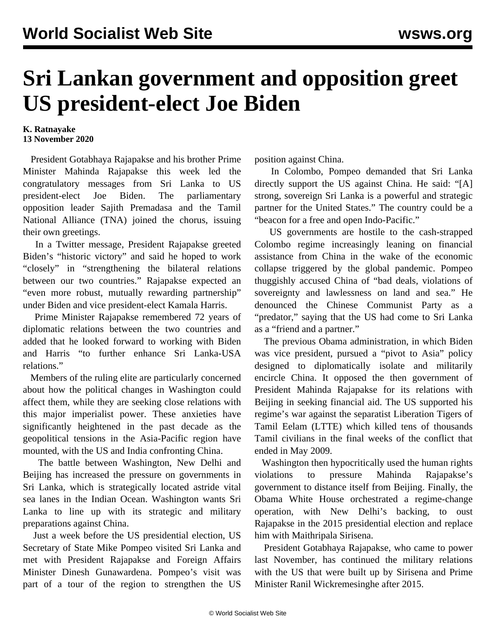## **Sri Lankan government and opposition greet US president-elect Joe Biden**

## **K. Ratnayake 13 November 2020**

 President Gotabhaya Rajapakse and his brother Prime Minister Mahinda Rajapakse this week led the congratulatory messages from Sri Lanka to US president-elect Joe Biden. The parliamentary opposition leader Sajith Premadasa and the Tamil National Alliance (TNA) joined the chorus, issuing their own greetings.

 In a Twitter message, President Rajapakse greeted Biden's "historic victory" and said he hoped to work "closely" in "strengthening the bilateral relations between our two countries." Rajapakse expected an "even more robust, mutually rewarding partnership" under Biden and vice president-elect Kamala Harris.

 Prime Minister Rajapakse remembered 72 years of diplomatic relations between the two countries and added that he looked forward to working with Biden and Harris "to further enhance Sri Lanka-USA relations."

 Members of the ruling elite are particularly concerned about how the political changes in Washington could affect them, while they are seeking close relations with this major imperialist power. These anxieties have significantly heightened in the past decade as the geopolitical tensions in the Asia-Pacific region have mounted, with the US and India confronting China.

 The battle between Washington, New Delhi and Beijing has increased the pressure on governments in Sri Lanka, which is strategically located astride vital sea lanes in the Indian Ocean. Washington wants Sri Lanka to line up with its strategic and military preparations against China.

 Just a week before the US presidential election, US Secretary of State Mike Pompeo visited Sri Lanka and met with President Rajapakse and Foreign Affairs Minister Dinesh Gunawardena. Pompeo's visit was part of a tour of the region to strengthen the US

position against China.

 In Colombo, Pompeo demanded that Sri Lanka directly support the US against China. He said: "[A] strong, sovereign Sri Lanka is a powerful and strategic partner for the United States." The country could be a "beacon for a free and open Indo-Pacific."

 US governments are hostile to the cash-strapped Colombo regime increasingly leaning on financial assistance from China in the wake of the economic collapse triggered by the global pandemic. Pompeo thuggishly accused China of "bad deals, violations of sovereignty and lawlessness on land and sea." He denounced the Chinese Communist Party as a "predator," saying that the US had come to Sri Lanka as a "friend and a partner."

 The previous Obama administration, in which Biden was vice president, pursued a "pivot to Asia" policy designed to diplomatically isolate and militarily encircle China. It opposed the then government of President Mahinda Rajapakse for its relations with Beijing in seeking financial aid. The US supported his regime's war against the separatist Liberation Tigers of Tamil Eelam (LTTE) which killed tens of thousands Tamil civilians in the final weeks of the conflict that ended in May 2009.

 Washington then hypocritically used the human rights violations to pressure Mahinda Rajapakse's government to distance itself from Beijing. Finally, the Obama White House orchestrated a regime-change operation, with New Delhi's backing, to oust Rajapakse in the 2015 presidential election and replace him with Maithripala Sirisena.

 President Gotabhaya Rajapakse, who came to power last November, has continued the military relations with the US that were built up by Sirisena and Prime Minister Ranil Wickremesinghe after 2015.